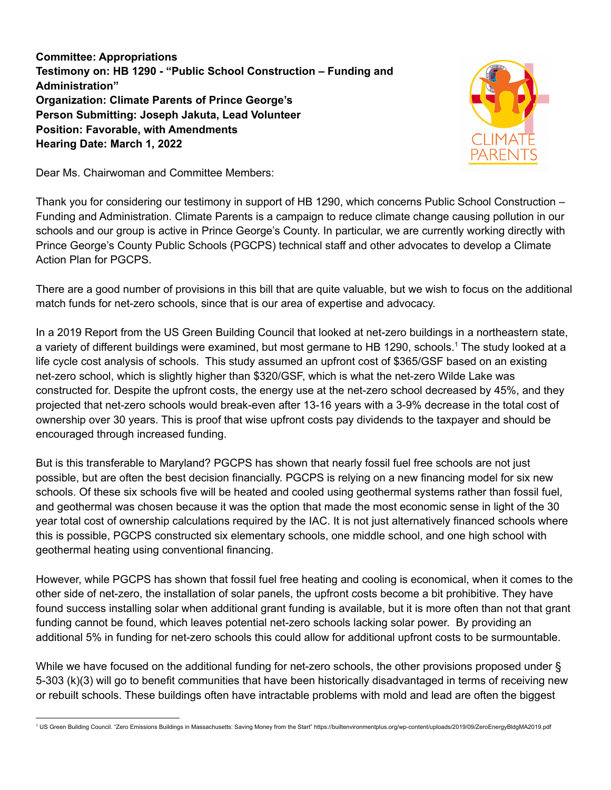**Committee: Appropriations Testimony on: HB 1290 - "Public School Construction – Funding and Administration" Organization: Climate Parents of Prince George's Person Submitting: Joseph Jakuta, Lead Volunteer Position: Favorable, with Amendments Hearing Date: March 1, 2022**



Dear Ms. Chairwoman and Committee Members:

Thank you for considering our testimony in support of HB 1290, which concerns Public School Construction – Funding and Administration. Climate Parents is a campaign to reduce climate change causing pollution in our schools and our group is active in Prince George's County. In particular, we are currently working directly with Prince George's County Public Schools (PGCPS) technical staff and other advocates to develop a Climate Action Plan for PGCPS.

There are a good number of provisions in this bill that are quite valuable, but we wish to focus on the additional match funds for net-zero schools, since that is our area of expertise and advocacy.

In a 2019 Report from the US Green Building Council that looked at net-zero buildings in a northeastern state, a variety of different buildings were examined, but most germane to HB 1290, schools. <sup>1</sup> The study looked at a life cycle cost analysis of schools. This study assumed an upfront cost of \$365/GSF based on an existing net-zero school, which is slightly higher than \$320/GSF, which is what the net-zero Wilde Lake was constructed for. Despite the upfront costs, the energy use at the net-zero school decreased by 45%, and they projected that net-zero schools would break-even after 13-16 years with a 3-9% decrease in the total cost of ownership over 30 years. This is proof that wise upfront costs pay dividends to the taxpayer and should be encouraged through increased funding.

But is this transferable to Maryland? PGCPS has shown that nearly fossil fuel free schools are not just possible, but are often the best decision financially. PGCPS is relying on a new financing model for six new schools. Of these six schools five will be heated and cooled using geothermal systems rather than fossil fuel, and geothermal was chosen because it was the option that made the most economic sense in light of the 30 year total cost of ownership calculations required by the IAC. It is not just alternatively financed schools where this is possible, PGCPS constructed six elementary schools, one middle school, and one high school with geothermal heating using conventional financing.

However, while PGCPS has shown that fossil fuel free heating and cooling is economical, when it comes to the other side of net-zero, the installation of solar panels, the upfront costs become a bit prohibitive. They have found success installing solar when additional grant funding is available, but it is more often than not that grant funding cannot be found, which leaves potential net-zero schools lacking solar power. By providing an additional 5% in funding for net-zero schools this could allow for additional upfront costs to be surmountable.

While we have focused on the additional funding for net-zero schools, the other provisions proposed under § 5-303 (k)(3) will go to benefit communities that have been historically disadvantaged in terms of receiving new or rebuilt schools. These buildings often have intractable problems with mold and lead are often the biggest

<sup>1</sup> US Green Building Council. "Zero Emissions Buildings in Massachusetts: Saving Money from the Start" https://builtenvironmentplus.org/wp-content/uploads/2019/09/ZeroEnergyBldgMA2019.pdf